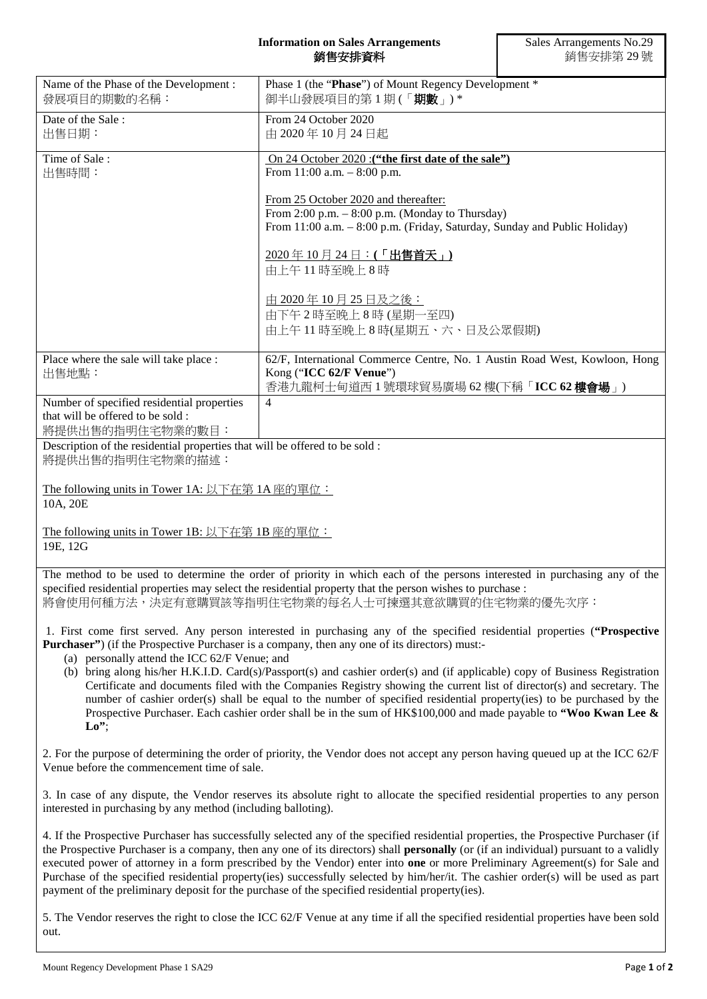## **Information on Sales Arrangements** 銷售安排資料

|                                                                                                                                                                                                                                                                                           | ※コロメ――アーバー                                                                                                                                                                                                                                                                                                                                                                                                                                                                                                                                               | ∦⁄J □ ㄨ リア୮ <i>ᄉl コ - " "</i> " " |
|-------------------------------------------------------------------------------------------------------------------------------------------------------------------------------------------------------------------------------------------------------------------------------------------|----------------------------------------------------------------------------------------------------------------------------------------------------------------------------------------------------------------------------------------------------------------------------------------------------------------------------------------------------------------------------------------------------------------------------------------------------------------------------------------------------------------------------------------------------------|-----------------------------------|
| Name of the Phase of the Development:<br>發展項目的期數的名稱:                                                                                                                                                                                                                                      | Phase 1 (the "Phase") of Mount Regency Development *<br>御半山發展項目的第1期(「期數」)*                                                                                                                                                                                                                                                                                                                                                                                                                                                                               |                                   |
| Date of the Sale:<br>出售日期:                                                                                                                                                                                                                                                                | From 24 October 2020<br>由 2020年10月24日起                                                                                                                                                                                                                                                                                                                                                                                                                                                                                                                   |                                   |
| Time of Sale:<br>出售時間:                                                                                                                                                                                                                                                                    | On 24 October 2020 : ("the first date of the sale")<br>From $11:00$ a.m. $-8:00$ p.m.                                                                                                                                                                                                                                                                                                                                                                                                                                                                    |                                   |
|                                                                                                                                                                                                                                                                                           | From 25 October 2020 and thereafter:<br>From 2:00 p.m. $-$ 8:00 p.m. (Monday to Thursday)<br>From 11:00 a.m. - 8:00 p.m. (Friday, Saturday, Sunday and Public Holiday)                                                                                                                                                                                                                                                                                                                                                                                   |                                   |
|                                                                                                                                                                                                                                                                                           | 2020年10月24日:(「出售首天」)<br>由上午11時至晚上8時                                                                                                                                                                                                                                                                                                                                                                                                                                                                                                                      |                                   |
|                                                                                                                                                                                                                                                                                           | 由 2020年10月25日及之後:<br>由下午2時至晚上8時(星期一至四)<br>由上午11時至晚上8時(星期五、六、日及公眾假期)                                                                                                                                                                                                                                                                                                                                                                                                                                                                                      |                                   |
| Place where the sale will take place :<br>出售地點:                                                                                                                                                                                                                                           | 62/F, International Commerce Centre, No. 1 Austin Road West, Kowloon, Hong<br>Kong ("ICC 62/F Venue")<br>香港九龍柯士甸道西 1 號環球貿易廣場 62 樓(下稱「ICC 62 樓會場」)                                                                                                                                                                                                                                                                                                                                                                                                        |                                   |
| Number of specified residential properties<br>that will be offered to be sold:<br>將提供出售的指明住宅物業的數目:                                                                                                                                                                                        | $\overline{4}$                                                                                                                                                                                                                                                                                                                                                                                                                                                                                                                                           |                                   |
| Description of the residential properties that will be offered to be sold :<br>將提供出售的指明住宅物業的描述:                                                                                                                                                                                           |                                                                                                                                                                                                                                                                                                                                                                                                                                                                                                                                                          |                                   |
| The following units in Tower 1A: 以下在第 1A 座的單位:<br>10A, 20E                                                                                                                                                                                                                                |                                                                                                                                                                                                                                                                                                                                                                                                                                                                                                                                                          |                                   |
| The following units in Tower 1B: 以下在第 1B 座的單位:<br>19E, 12G                                                                                                                                                                                                                                |                                                                                                                                                                                                                                                                                                                                                                                                                                                                                                                                                          |                                   |
| The method to be used to determine the order of priority in which each of the persons interested in purchasing any of the<br>specified residential properties may select the residential property that the person wishes to purchase :<br>將會使用何種方法,決定有意購買該等指明住宅物業的每名人士可揀選其意欲購買的住宅物業的優先次序: |                                                                                                                                                                                                                                                                                                                                                                                                                                                                                                                                                          |                                   |
| (a) personally attend the ICC 62/F Venue; and                                                                                                                                                                                                                                             | 1. First come first served. Any person interested in purchasing any of the specified residential properties ("Prospective<br><b>Purchaser</b> ") (if the Prospective Purchaser is a company, then any one of its directors) must:-<br>(b) bring along his/her H.K.I.D. Card(s)/Passport(s) and cashier order(s) and (if applicable) copy of Business Registration                                                                                                                                                                                        |                                   |
| $\mathbf{Lo}^{\prime\prime}$                                                                                                                                                                                                                                                              | Certificate and documents filed with the Companies Registry showing the current list of director(s) and secretary. The<br>number of cashier order(s) shall be equal to the number of specified residential property(ies) to be purchased by the<br>Prospective Purchaser. Each cashier order shall be in the sum of $HK$100,000$ and made payable to "Woo Kwan Lee &                                                                                                                                                                                     |                                   |
| Venue before the commencement time of sale.                                                                                                                                                                                                                                               | 2. For the purpose of determining the order of priority, the Vendor does not accept any person having queued up at the ICC 62/F                                                                                                                                                                                                                                                                                                                                                                                                                          |                                   |
| interested in purchasing by any method (including balloting).                                                                                                                                                                                                                             | 3. In case of any dispute, the Vendor reserves its absolute right to allocate the specified residential properties to any person                                                                                                                                                                                                                                                                                                                                                                                                                         |                                   |
|                                                                                                                                                                                                                                                                                           | 4. If the Prospective Purchaser has successfully selected any of the specified residential properties, the Prospective Purchaser (if<br>the Prospective Purchaser is a company, then any one of its directors) shall <b>personally</b> (or (if an individual) pursuant to a validly<br>executed power of attorney in a form prescribed by the Vendor) enter into one or more Preliminary Agreement(s) for Sale and<br>Purchase of the specified residential property(ies) successfully selected by him/her/it. The cashier order(s) will be used as part |                                   |

5. The Vendor reserves the right to close the ICC 62/F Venue at any time if all the specified residential properties have been sold out.

payment of the preliminary deposit for the purchase of the specified residential property(ies).